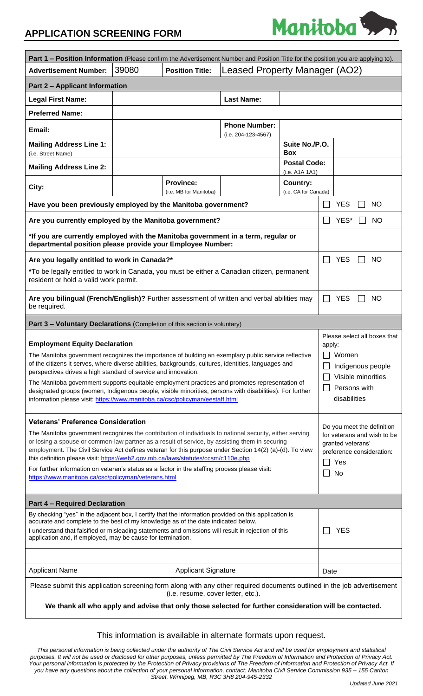## **APPLICATION SCREENING FORM**



| <b>Part 1 – Position Information</b> (Please confirm the Advertisement Number and Position Title for the position you are applying to).                                                                                                                                                                                                                                                                                                                                                                                                                                                                              |                                    |                                                                                |                                             |                                       |                                                                                                                                   |  |
|----------------------------------------------------------------------------------------------------------------------------------------------------------------------------------------------------------------------------------------------------------------------------------------------------------------------------------------------------------------------------------------------------------------------------------------------------------------------------------------------------------------------------------------------------------------------------------------------------------------------|------------------------------------|--------------------------------------------------------------------------------|---------------------------------------------|---------------------------------------|-----------------------------------------------------------------------------------------------------------------------------------|--|
| <b>Advertisement Number:</b>                                                                                                                                                                                                                                                                                                                                                                                                                                                                                                                                                                                         | 39080                              | <b>Position Title:</b>                                                         | Leased Property Manager (AO2)               |                                       |                                                                                                                                   |  |
| <b>Part 2 - Applicant Information</b>                                                                                                                                                                                                                                                                                                                                                                                                                                                                                                                                                                                |                                    |                                                                                |                                             |                                       |                                                                                                                                   |  |
| <b>Legal First Name:</b>                                                                                                                                                                                                                                                                                                                                                                                                                                                                                                                                                                                             |                                    |                                                                                | <b>Last Name:</b>                           |                                       |                                                                                                                                   |  |
| <b>Preferred Name:</b>                                                                                                                                                                                                                                                                                                                                                                                                                                                                                                                                                                                               |                                    |                                                                                |                                             |                                       |                                                                                                                                   |  |
| Email:                                                                                                                                                                                                                                                                                                                                                                                                                                                                                                                                                                                                               |                                    |                                                                                | <b>Phone Number:</b><br>(i.e. 204-123-4567) |                                       |                                                                                                                                   |  |
| <b>Mailing Address Line 1:</b><br>(i.e. Street Name)                                                                                                                                                                                                                                                                                                                                                                                                                                                                                                                                                                 |                                    |                                                                                |                                             | Suite No./P.O.<br><b>Box</b>          |                                                                                                                                   |  |
| <b>Mailing Address Line 2:</b>                                                                                                                                                                                                                                                                                                                                                                                                                                                                                                                                                                                       |                                    |                                                                                |                                             | <b>Postal Code:</b><br>(i.e. A1A 1A1) |                                                                                                                                   |  |
| City:                                                                                                                                                                                                                                                                                                                                                                                                                                                                                                                                                                                                                |                                    | <b>Province:</b><br>Country:<br>(i.e. CA for Canada)<br>(i.e. MB for Manitoba) |                                             |                                       |                                                                                                                                   |  |
| Have you been previously employed by the Manitoba government?<br><b>YES</b><br><b>NO</b>                                                                                                                                                                                                                                                                                                                                                                                                                                                                                                                             |                                    |                                                                                |                                             |                                       |                                                                                                                                   |  |
| Are you currently employed by the Manitoba government?                                                                                                                                                                                                                                                                                                                                                                                                                                                                                                                                                               |                                    |                                                                                |                                             |                                       | YES*<br><b>NO</b>                                                                                                                 |  |
| *If you are currently employed with the Manitoba government in a term, regular or<br>departmental position please provide your Employee Number:                                                                                                                                                                                                                                                                                                                                                                                                                                                                      |                                    |                                                                                |                                             |                                       |                                                                                                                                   |  |
| Are you legally entitled to work in Canada?*                                                                                                                                                                                                                                                                                                                                                                                                                                                                                                                                                                         |                                    |                                                                                |                                             |                                       | <b>YES</b><br><b>NO</b>                                                                                                           |  |
| *To be legally entitled to work in Canada, you must be either a Canadian citizen, permanent<br>resident or hold a valid work permit.                                                                                                                                                                                                                                                                                                                                                                                                                                                                                 |                                    |                                                                                |                                             |                                       |                                                                                                                                   |  |
| Are you bilingual (French/English)? Further assessment of written and verbal abilities may<br><b>YES</b><br>NO.<br>be required.                                                                                                                                                                                                                                                                                                                                                                                                                                                                                      |                                    |                                                                                |                                             |                                       |                                                                                                                                   |  |
| Part 3 - Voluntary Declarations (Completion of this section is voluntary)                                                                                                                                                                                                                                                                                                                                                                                                                                                                                                                                            |                                    |                                                                                |                                             |                                       |                                                                                                                                   |  |
| <b>Employment Equity Declaration</b><br>The Manitoba government recognizes the importance of building an exemplary public service reflective<br>of the citizens it serves, where diverse abilities, backgrounds, cultures, identities, languages and<br>perspectives drives a high standard of service and innovation.<br>The Manitoba government supports equitable employment practices and promotes representation of<br>designated groups (women, Indigenous people, visible minorities, persons with disabilities). For further<br>information please visit: https://www.manitoba.ca/csc/policyman/eestaff.html |                                    |                                                                                |                                             |                                       | Please select all boxes that<br>apply:<br>$\Box$ Women<br>Indigenous people<br>Visible minorities<br>Persons with<br>disabilities |  |
| <b>Veterans' Preference Consideration</b><br>The Manitoba government recognizes the contribution of individuals to national security, either serving<br>or losing a spouse or common-law partner as a result of service, by assisting them in securing<br>employment. The Civil Service Act defines veteran for this purpose under Section 14(2) (a)-(d). To view<br>this definition please visit: https://web2.gov.mb.ca/laws/statutes/ccsm/c110e.php<br>For further information on veteran's status as a factor in the staffing process please visit:<br>https://www.manitoba.ca/csc/policyman/veterans.html       |                                    |                                                                                |                                             |                                       | Do you meet the definition<br>for veterans and wish to be<br>aranted veterans'<br>preference consideration:<br>Yes<br>No          |  |
| <b>Part 4 - Required Declaration</b>                                                                                                                                                                                                                                                                                                                                                                                                                                                                                                                                                                                 |                                    |                                                                                |                                             |                                       |                                                                                                                                   |  |
| By checking "yes" in the adjacent box, I certify that the information provided on this application is<br>accurate and complete to the best of my knowledge as of the date indicated below.<br>I understand that falsified or misleading statements and omissions will result in rejection of this<br>application and, if employed, may be cause for termination.                                                                                                                                                                                                                                                     |                                    |                                                                                |                                             |                                       | <b>YES</b>                                                                                                                        |  |
|                                                                                                                                                                                                                                                                                                                                                                                                                                                                                                                                                                                                                      |                                    |                                                                                |                                             |                                       |                                                                                                                                   |  |
| <b>Applicant Name</b>                                                                                                                                                                                                                                                                                                                                                                                                                                                                                                                                                                                                | <b>Applicant Signature</b><br>Date |                                                                                |                                             |                                       |                                                                                                                                   |  |
| Please submit this application screening form along with any other required documents outlined in the job advertisement<br>(i.e. resume, cover letter, etc.).                                                                                                                                                                                                                                                                                                                                                                                                                                                        |                                    |                                                                                |                                             |                                       |                                                                                                                                   |  |
| We thank all who apply and advise that only those selected for further consideration will be contacted.                                                                                                                                                                                                                                                                                                                                                                                                                                                                                                              |                                    |                                                                                |                                             |                                       |                                                                                                                                   |  |

### This information is available in alternate formats upon request.

*This personal information is being collected under the authority of The Civil Service Act and will be used for employment and statistical purposes. It will not be used or disclosed for other purposes, unless permitted by The Freedom of Information and Protection of Privacy Act.*  Your personal information is protected by the Protection of Privacy provisions of The Freedom of Information and Protection of Privacy Act. If *you have any questions about the collection of your personal information, contact: Manitoba Civil Service Commission 935 – 155 Carlton Street, Winnipeg, MB, R3C 3H8 204-945-2332*